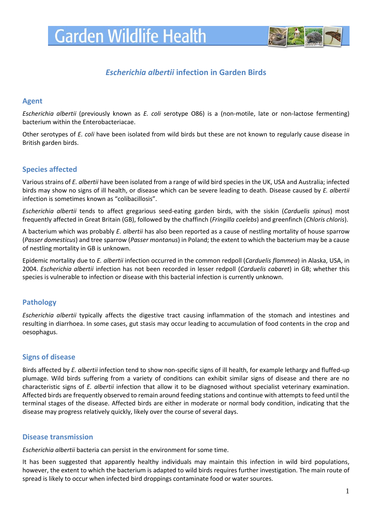

# *Escherichia albertii* **infection in Garden Birds**

#### **Agent**

*Escherichia albertii* (previously known as *E. coli* serotype O86) is a (non-motile, late or non-lactose fermenting) bacterium within the Enterobacteriacae.

Other serotypes of *E. coli* have been isolated from wild birds but these are not known to regularly cause disease in British garden birds.

# **Species affected**

Various strains of *E. albertii* have been isolated from a range of wild bird species in the UK, USA and Australia; infected birds may show no signs of ill health, or disease which can be severe leading to death. Disease caused by *E. albertii* infection is sometimes known as "colibacillosis".

*Escherichia albertii* tends to affect gregarious seed-eating garden birds, with the siskin (*Carduelis spinus*) most frequently affected in Great Britain (GB), followed by the chaffinch (*Fringilla coelebs*) and greenfinch (*Chloris chloris*).

A bacterium which was probably *E. albertii* has also been reported as a cause of nestling mortality of house sparrow (*Passer domesticus*) and tree sparrow (*Passer montanus*) in Poland; the extent to which the bacterium may be a cause of nestling mortality in GB is unknown.

Epidemic mortality due to *E. albertii* infection occurred in the common redpoll (*Carduelis flammea*) in Alaska, USA, in 2004. *Escherichia albertii* infection has not been recorded in lesser redpoll (*Carduelis cabaret*) in GB; whether this species is vulnerable to infection or disease with this bacterial infection is currently unknown.

# **Pathology**

*Escherichia albertii* typically affects the digestive tract causing inflammation of the stomach and intestines and resulting in diarrhoea. In some cases, gut stasis may occur leading to accumulation of food contents in the crop and oesophagus.

# **Signs of disease**

Birds affected by *E. albertii* infection tend to show non-specific signs of ill health, for example lethargy and fluffed-up plumage. Wild birds suffering from a variety of conditions can exhibit similar signs of disease and there are no characteristic signs of *E. albertii* infection that allow it to be diagnosed without specialist veterinary examination. Affected birds are frequently observed to remain around feeding stations and continue with attempts to feed until the terminal stages of the disease. Affected birds are either in moderate or normal body condition, indicating that the disease may progress relatively quickly, likely over the course of several days.

#### **Disease transmission**

*Escherichia albertii* bacteria can persist in the environment for some time.

It has been suggested that apparently healthy individuals may maintain this infection in wild bird populations, however, the extent to which the bacterium is adapted to wild birds requires further investigation. The main route of spread is likely to occur when infected bird droppings contaminate food or water sources.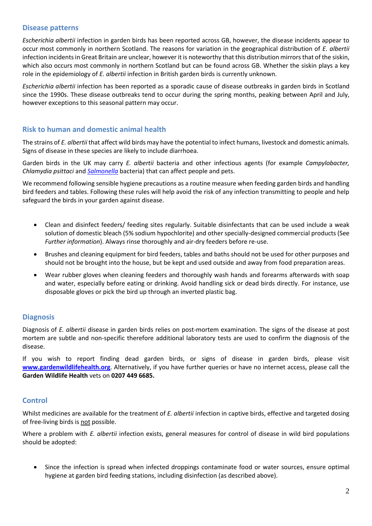# **Disease patterns**

*Escherichia albertii* infection in garden birds has been reported across GB, however, the disease incidents appear to occur most commonly in northern Scotland. The reasons for variation in the geographical distribution of *E. albertii* infection incidents in Great Britain are unclear, however it is noteworthy that this distribution mirrors that of the siskin, which also occurs most commonly in northern Scotland but can be found across GB. Whether the siskin plays a key role in the epidemiology of *E. albertii* infection in British garden birds is currently unknown.

*Escherichia albertii* infection has been reported as a sporadic cause of disease outbreaks in garden birds in Scotland since the 1990s. These disease outbreaks tend to occur during the spring months, peaking between April and July, however exceptions to this seasonal pattern may occur.

## **Risk to human and domestic animal health**

The strains of *E. albertii* that affect wild birds may have the potential to infect humans, livestock and domestic animals. Signs of disease in these species are likely to include diarrhoea.

Garden birds in the UK may carry *E. albertii* bacteria and other infectious agents (for example *Campylobacter, Chlamydia psittaci* and *[Salmonella](http://www.gardenwildlifehealth.org/files/2013/06/Garden-bird-Salmonellosis-factsheet_GWH.pdf)* bacteria) that can affect people and pets.

We recommend following sensible hygiene precautions as a routine measure when feeding garden birds and handling bird feeders and tables. Following these rules will help avoid the risk of any infection transmitting to people and help safeguard the birds in your garden against disease.

- Clean and disinfect feeders/ feeding sites regularly. Suitable disinfectants that can be used include a weak solution of domestic bleach (5% sodium hypochlorite) and other specially-designed commercial products (See *Further information*). Always rinse thoroughly and air-dry feeders before re-use.
- Brushes and cleaning equipment for bird feeders, tables and baths should not be used for other purposes and should not be brought into the house, but be kept and used outside and away from food preparation areas.
- Wear rubber gloves when cleaning feeders and thoroughly wash hands and forearms afterwards with soap and water, especially before eating or drinking. Avoid handling sick or dead birds directly. For instance, use disposable gloves or pick the bird up through an inverted plastic bag.

#### **Diagnosis**

Diagnosis of *E. albertii* disease in garden birds relies on post-mortem examination. The signs of the disease at post mortem are subtle and non-specific therefore additional laboratory tests are used to confirm the diagnosis of the disease.

If you wish to report finding dead garden birds, or signs of disease in garden birds, please visit **[www.gardenwildlifehealth.org](http://www.gardenwildlifehealth.org/)**. Alternatively, if you have further queries or have no internet access, please call the **Garden Wildlife Health** vets on **0207 449 6685.**

# **Control**

Whilst medicines are available for the treatment of *E. albertii* infection in captive birds, effective and targeted dosing of free-living birds is not possible.

Where a problem with *E. albertii* infection exists, general measures for control of disease in wild bird populations should be adopted:

 Since the infection is spread when infected droppings contaminate food or water sources, ensure optimal hygiene at garden bird feeding stations, including disinfection (as described above).